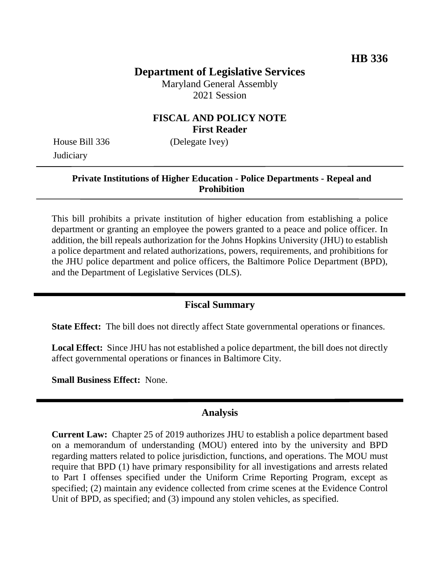# **Department of Legislative Services**

Maryland General Assembly 2021 Session

# **FISCAL AND POLICY NOTE First Reader**

House Bill 336 (Delegate Ivey) **Judiciary** 

#### **Private Institutions of Higher Education - Police Departments - Repeal and Prohibition**

This bill prohibits a private institution of higher education from establishing a police department or granting an employee the powers granted to a peace and police officer. In addition, the bill repeals authorization for the Johns Hopkins University (JHU) to establish a police department and related authorizations, powers, requirements, and prohibitions for the JHU police department and police officers, the Baltimore Police Department (BPD), and the Department of Legislative Services (DLS).

### **Fiscal Summary**

**State Effect:** The bill does not directly affect State governmental operations or finances.

**Local Effect:** Since JHU has not established a police department, the bill does not directly affect governmental operations or finances in Baltimore City.

**Small Business Effect:** None.

#### **Analysis**

**Current Law:** Chapter 25 of 2019 authorizes JHU to establish a police department based on a memorandum of understanding (MOU) entered into by the university and BPD regarding matters related to police jurisdiction, functions, and operations. The MOU must require that BPD (1) have primary responsibility for all investigations and arrests related to Part I offenses specified under the Uniform Crime Reporting Program, except as specified; (2) maintain any evidence collected from crime scenes at the Evidence Control Unit of BPD, as specified; and (3) impound any stolen vehicles, as specified.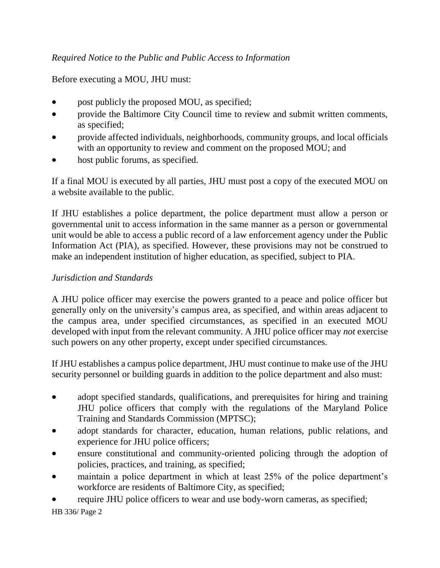# *Required Notice to the Public and Public Access to Information*

## Before executing a MOU, JHU must:

- post publicly the proposed MOU, as specified;
- provide the Baltimore City Council time to review and submit written comments, as specified;
- provide affected individuals, neighborhoods, community groups, and local officials with an opportunity to review and comment on the proposed MOU; and
- host public forums, as specified.

If a final MOU is executed by all parties, JHU must post a copy of the executed MOU on a website available to the public.

If JHU establishes a police department, the police department must allow a person or governmental unit to access information in the same manner as a person or governmental unit would be able to access a public record of a law enforcement agency under the Public Information Act (PIA), as specified. However, these provisions may not be construed to make an independent institution of higher education, as specified, subject to PIA.

### *Jurisdiction and Standards*

A JHU police officer may exercise the powers granted to a peace and police officer but generally only on the university's campus area, as specified, and within areas adjacent to the campus area, under specified circumstances, as specified in an executed MOU developed with input from the relevant community. A JHU police officer may *not* exercise such powers on any other property, except under specified circumstances.

If JHU establishes a campus police department, JHU must continue to make use of the JHU security personnel or building guards in addition to the police department and also must:

- adopt specified standards, qualifications, and prerequisites for hiring and training JHU police officers that comply with the regulations of the Maryland Police Training and Standards Commission (MPTSC);
- adopt standards for character, education, human relations, public relations, and experience for JHU police officers;
- ensure constitutional and community-oriented policing through the adoption of policies, practices, and training, as specified;
- maintain a police department in which at least 25% of the police department's workforce are residents of Baltimore City, as specified;
- require JHU police officers to wear and use body-worn cameras, as specified;

HB 336/ Page 2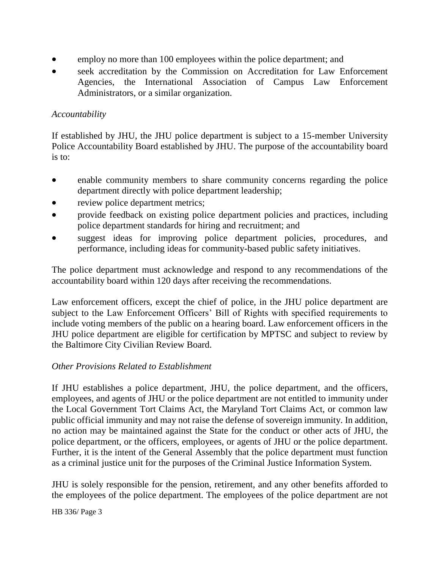- employ no more than 100 employees within the police department; and
- seek accreditation by the Commission on Accreditation for Law Enforcement Agencies, the International Association of Campus Law Enforcement Administrators, or a similar organization.

## *Accountability*

If established by JHU, the JHU police department is subject to a 15-member University Police Accountability Board established by JHU. The purpose of the accountability board is to:

- enable community members to share community concerns regarding the police department directly with police department leadership;
- review police department metrics;
- provide feedback on existing police department policies and practices, including police department standards for hiring and recruitment; and
- suggest ideas for improving police department policies, procedures, and performance, including ideas for community-based public safety initiatives.

The police department must acknowledge and respond to any recommendations of the accountability board within 120 days after receiving the recommendations.

Law enforcement officers, except the chief of police, in the JHU police department are subject to the Law Enforcement Officers' Bill of Rights with specified requirements to include voting members of the public on a hearing board. Law enforcement officers in the JHU police department are eligible for certification by MPTSC and subject to review by the Baltimore City Civilian Review Board.

### *Other Provisions Related to Establishment*

If JHU establishes a police department, JHU, the police department, and the officers, employees, and agents of JHU or the police department are not entitled to immunity under the Local Government Tort Claims Act, the Maryland Tort Claims Act, or common law public official immunity and may not raise the defense of sovereign immunity. In addition, no action may be maintained against the State for the conduct or other acts of JHU, the police department, or the officers, employees, or agents of JHU or the police department. Further, it is the intent of the General Assembly that the police department must function as a criminal justice unit for the purposes of the Criminal Justice Information System.

JHU is solely responsible for the pension, retirement, and any other benefits afforded to the employees of the police department. The employees of the police department are not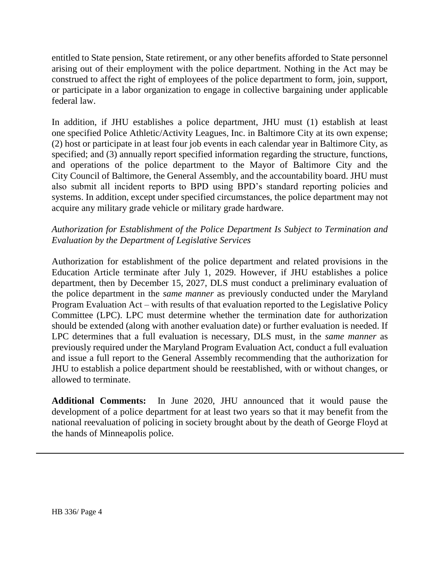entitled to State pension, State retirement, or any other benefits afforded to State personnel arising out of their employment with the police department. Nothing in the Act may be construed to affect the right of employees of the police department to form, join, support, or participate in a labor organization to engage in collective bargaining under applicable federal law.

In addition, if JHU establishes a police department, JHU must (1) establish at least one specified Police Athletic/Activity Leagues, Inc. in Baltimore City at its own expense; (2) host or participate in at least four job events in each calendar year in Baltimore City, as specified; and (3) annually report specified information regarding the structure, functions, and operations of the police department to the Mayor of Baltimore City and the City Council of Baltimore, the General Assembly, and the accountability board. JHU must also submit all incident reports to BPD using BPD's standard reporting policies and systems. In addition, except under specified circumstances, the police department may not acquire any military grade vehicle or military grade hardware.

# *Authorization for Establishment of the Police Department Is Subject to Termination and Evaluation by the Department of Legislative Services*

Authorization for establishment of the police department and related provisions in the Education Article terminate after July 1, 2029. However, if JHU establishes a police department, then by December 15, 2027, DLS must conduct a preliminary evaluation of the police department in the *same manner* as previously conducted under the Maryland Program Evaluation Act – with results of that evaluation reported to the Legislative Policy Committee (LPC). LPC must determine whether the termination date for authorization should be extended (along with another evaluation date) or further evaluation is needed. If LPC determines that a full evaluation is necessary, DLS must, in the *same manner* as previously required under the Maryland Program Evaluation Act, conduct a full evaluation and issue a full report to the General Assembly recommending that the authorization for JHU to establish a police department should be reestablished, with or without changes, or allowed to terminate.

**Additional Comments:** In June 2020, JHU announced that it would pause the development of a police department for at least two years so that it may benefit from the national reevaluation of policing in society brought about by the death of George Floyd at the hands of Minneapolis police.